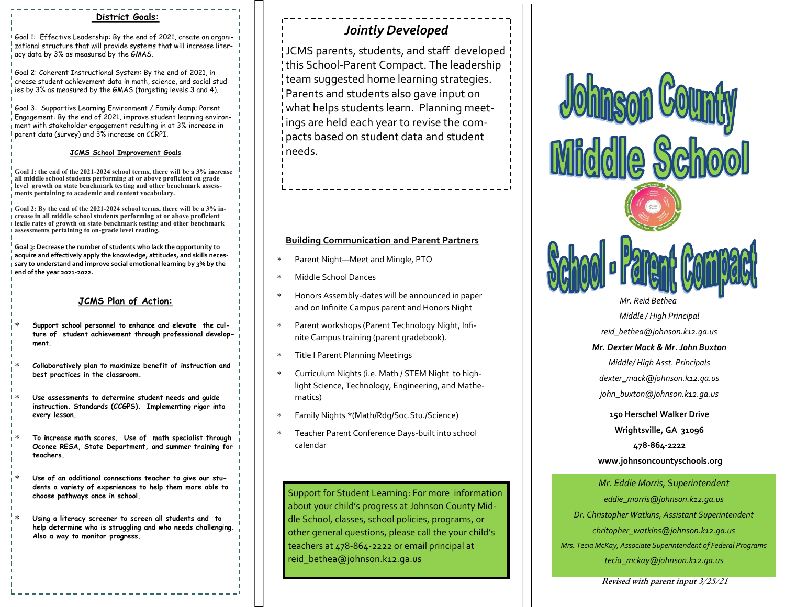### **District Goals:**

Goal 1: Effective Leadership: By the end of 2021, create an organizational structure that will provide systems that will increase literacy data by 3% as measured by the GMAS.

Goal 2: Coherent Instructional System: By the end of 2021, increase student achievement data in math, science, and social stud- $_{\rm I}^{\rm I}$  ies by 3% as measured by the GMAS (targeting levels 3 and 4).

Goal 3: Supportive Learning Environment / Family & amp; Parent Engagement: By the end of 2021, improve student learning environment with stakeholder engagement resulting in at 3% increase in parent data (survey) and 3% increase on CCRPI.

#### **JCMS School Improvement Goals**

**Goal 1: the end of the 2021-2024 school terms, there will be a 3% increase all middle school students performing at or above proficient on grade level growth on state benchmark testing and other benchmark assessments pertaining to academic and content vocabulary.**

**Goal 2: By the end of the 2021-2024 school terms, there will be a 3% increase in all middle school students performing at or above proficient lexile rates of growth on state benchmark testing and other benchmark assessments pertaining to on-grade level reading.**

**Goal 3: Decrease the number of students who lack the opportunity to acquire and effectively apply the knowledge, attitudes, and skills necessary to understand and improve social emotional learning by 3% by the end of the year 2021-2022.**

#### **JCMS Plan of Action:**

- **Support school personnel to enhance and elevate the culture of student achievement through professional development.**
- **Collaboratively plan to maximize benefit of instruction and best practices in the classroom.**
- **Use assessments to determine student needs and guide instruction. Standards (CCGPS). Implementing rigor into every lesson.**
- **To increase math scores. Use of math specialist through Oconee RESA, State Department, and summer training for teachers.**
- **Use of an additional connections teacher to give our students a variety of experiences to help them more able to choose pathways once in school.**
- **Using a literacy screener to screen all students and to help determine who is struggling and who needs challenging. Also a way to monitor progress.**

## *Jointly Developed*

JCMS parents, students, and staff developed this School-Parent Compact. The leadership team suggested home learning strategies. Parents and students also gave input on what helps students learn. Planning meetings are held each year to revise the compacts based on student data and student needs.

#### **Building Communication and Parent Partners**

- Parent Night—Meet and Mingle, PTO
- Middle School Dances
- Honors Assembly-dates will be announced in paper and on Infinite Campus parent and Honors Night
- Parent workshops (Parent Technology Night, Infinite Campus training (parent gradebook).
- Title I Parent Planning Meetings
- Curriculum Nights (i.e. Math / STEM Night to highlight Science, Technology, Engineering, and Mathematics)
- Family Nights \*(Math/Rdg/Soc.Stu./Science)
- Teacher Parent Conference Days-built into school calendar

Support for Student Learning: For more information about your child's progress at Johnson County Middle School, classes, school policies, programs, or other general questions, please call the your child's teachers at 478-864-2222 or email principal at reid\_bethea@johnson.k12.ga.us



**www.johnsoncountyschools.org**

*Mr. Eddie Morris,* Su*perintendent eddie\_morris@johnson.k12.ga.us Dr. Christopher Watkins, Assistant Superintendent chritopher\_watkins@johnson.k12.ga.us Mrs. Tecia McKay, Associate Superintendent of Federal Programs tecia\_mckay@johnson.k12.ga.us*

**Revised with parent input 3/25/21**